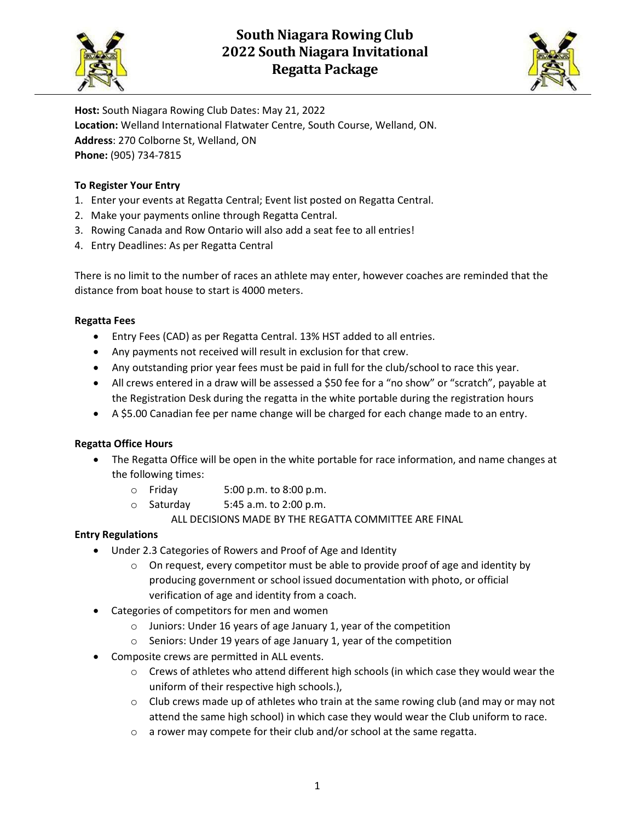

# South Niagara Rowing Club 2022 South Niagara Invitational Regatta Package



Host: South Niagara Rowing Club Dates: May 21, 2022 Location: Welland International Flatwater Centre, South Course, Welland, ON. Address: 270 Colborne St, Welland, ON Phone: (905) 734-7815

# To Register Your Entry

- 1. Enter your events at Regatta Central; Event list posted on Regatta Central.
- 2. Make your payments online through Regatta Central.
- 3. Rowing Canada and Row Ontario will also add a seat fee to all entries!
- 4. Entry Deadlines: As per Regatta Central

There is no limit to the number of races an athlete may enter, however coaches are reminded that the distance from boat house to start is 4000 meters.

## Regatta Fees

- Entry Fees (CAD) as per Regatta Central. 13% HST added to all entries.
- Any payments not received will result in exclusion for that crew.
- Any outstanding prior year fees must be paid in full for the club/school to race this year.
- All crews entered in a draw will be assessed a \$50 fee for a "no show" or "scratch", payable at the Registration Desk during the regatta in the white portable during the registration hours
- A \$5.00 Canadian fee per name change will be charged for each change made to an entry.

# Regatta Office Hours

- The Regatta Office will be open in the white portable for race information, and name changes at the following times:
	- o Friday 5:00 p.m. to 8:00 p.m.
	- $\circ$  Saturday 5:45 a.m. to 2:00 p.m.
		- ALL DECISIONS MADE BY THE REGATTA COMMITTEE ARE FINAL

# Entry Regulations

- Under 2.3 Categories of Rowers and Proof of Age and Identity
	- $\circ$  On request, every competitor must be able to provide proof of age and identity by producing government or school issued documentation with photo, or official verification of age and identity from a coach.
- Categories of competitors for men and women
	- o Juniors: Under 16 years of age January 1, year of the competition
	- o Seniors: Under 19 years of age January 1, year of the competition
- Composite crews are permitted in ALL events.
	- $\circ$  Crews of athletes who attend different high schools (in which case they would wear the uniform of their respective high schools.),
	- $\circ$  Club crews made up of athletes who train at the same rowing club (and may or may not attend the same high school) in which case they would wear the Club uniform to race.
	- o a rower may compete for their club and/or school at the same regatta.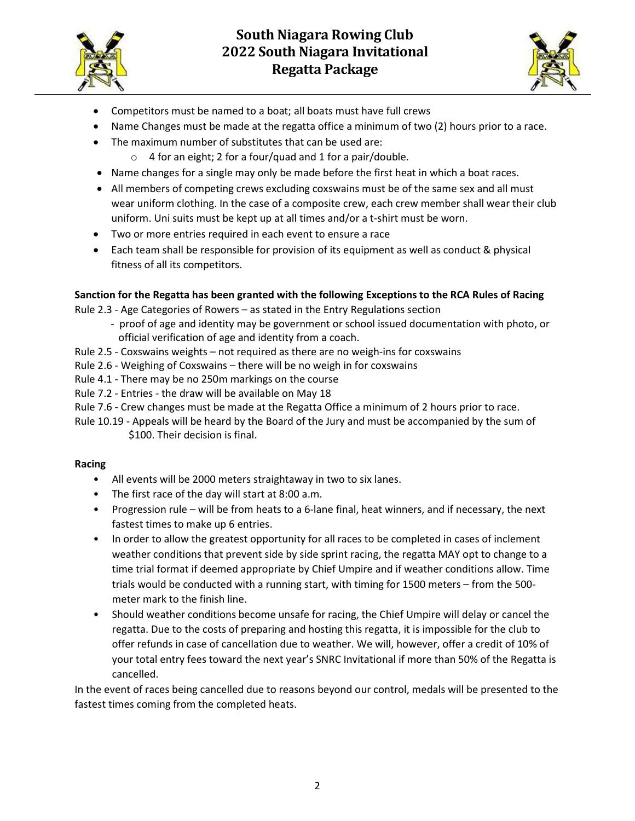

# South Niagara Rowing Club 2022 South Niagara Invitational Regatta Package



- Competitors must be named to a boat; all boats must have full crews
- Name Changes must be made at the regatta office a minimum of two (2) hours prior to a race.
- The maximum number of substitutes that can be used are:
	- $\circ$  4 for an eight; 2 for a four/quad and 1 for a pair/double.
- Name changes for a single may only be made before the first heat in which a boat races.
- All members of competing crews excluding coxswains must be of the same sex and all must wear uniform clothing. In the case of a composite crew, each crew member shall wear their club uniform. Uni suits must be kept up at all times and/or a t-shirt must be worn.
- Two or more entries required in each event to ensure a race
- Each team shall be responsible for provision of its equipment as well as conduct & physical fitness of all its competitors.

#### Sanction for the Regatta has been granted with the following Exceptions to the RCA Rules of Racing

Rule 2.3 - Age Categories of Rowers – as stated in the Entry Regulations section

- proof of age and identity may be government or school issued documentation with photo, or official verification of age and identity from a coach.
- Rule 2.5 Coxswains weights not required as there are no weigh-ins for coxswains
- Rule 2.6 Weighing of Coxswains there will be no weigh in for coxswains
- Rule 4.1 There may be no 250m markings on the course
- Rule 7.2 Entries the draw will be available on May 18
- Rule 7.6 Crew changes must be made at the Regatta Office a minimum of 2 hours prior to race.
- Rule 10.19 Appeals will be heard by the Board of the Jury and must be accompanied by the sum of \$100. Their decision is final.

#### Racing

- All events will be 2000 meters straightaway in two to six lanes.
- The first race of the day will start at 8:00 a.m.
- Progression rule will be from heats to a 6-lane final, heat winners, and if necessary, the next fastest times to make up 6 entries.
- In order to allow the greatest opportunity for all races to be completed in cases of inclement weather conditions that prevent side by side sprint racing, the regatta MAY opt to change to a time trial format if deemed appropriate by Chief Umpire and if weather conditions allow. Time trials would be conducted with a running start, with timing for 1500 meters – from the 500 meter mark to the finish line.
- Should weather conditions become unsafe for racing, the Chief Umpire will delay or cancel the regatta. Due to the costs of preparing and hosting this regatta, it is impossible for the club to offer refunds in case of cancellation due to weather. We will, however, offer a credit of 10% of your total entry fees toward the next year's SNRC Invitational if more than 50% of the Regatta is cancelled.

In the event of races being cancelled due to reasons beyond our control, medals will be presented to the fastest times coming from the completed heats.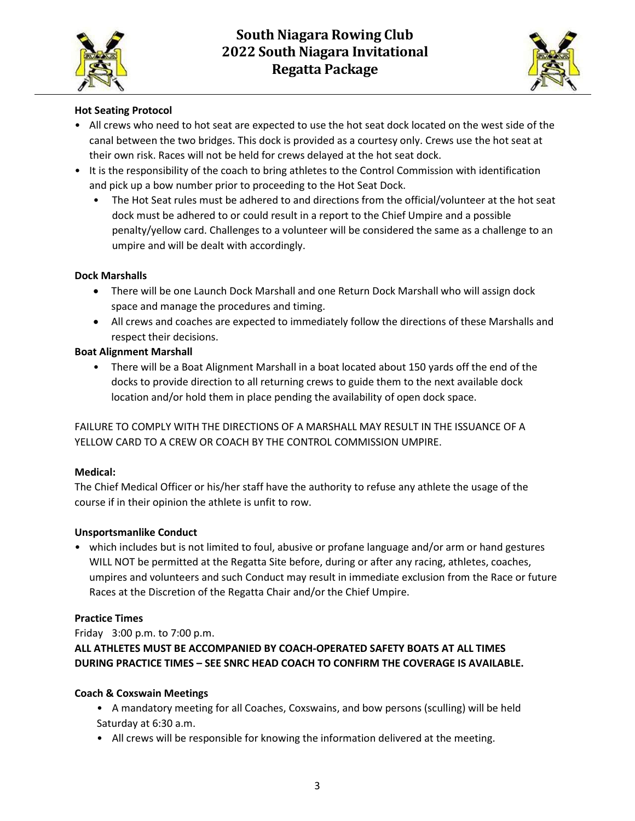



# Hot Seating Protocol

- All crews who need to hot seat are expected to use the hot seat dock located on the west side of the canal between the two bridges. This dock is provided as a courtesy only. Crews use the hot seat at their own risk. Races will not be held for crews delayed at the hot seat dock.
- It is the responsibility of the coach to bring athletes to the Control Commission with identification and pick up a bow number prior to proceeding to the Hot Seat Dock.
	- The Hot Seat rules must be adhered to and directions from the official/volunteer at the hot seat dock must be adhered to or could result in a report to the Chief Umpire and a possible penalty/yellow card. Challenges to a volunteer will be considered the same as a challenge to an umpire and will be dealt with accordingly.

#### Dock Marshalls

- There will be one Launch Dock Marshall and one Return Dock Marshall who will assign dock space and manage the procedures and timing.
- All crews and coaches are expected to immediately follow the directions of these Marshalls and respect their decisions.

## Boat Alignment Marshall

• There will be a Boat Alignment Marshall in a boat located about 150 yards off the end of the docks to provide direction to all returning crews to guide them to the next available dock location and/or hold them in place pending the availability of open dock space.

FAILURE TO COMPLY WITH THE DIRECTIONS OF A MARSHALL MAY RESULT IN THE ISSUANCE OF A YELLOW CARD TO A CREW OR COACH BY THE CONTROL COMMISSION UMPIRE.

#### Medical:

The Chief Medical Officer or his/her staff have the authority to refuse any athlete the usage of the course if in their opinion the athlete is unfit to row.

#### Unsportsmanlike Conduct

• which includes but is not limited to foul, abusive or profane language and/or arm or hand gestures WILL NOT be permitted at the Regatta Site before, during or after any racing, athletes, coaches, umpires and volunteers and such Conduct may result in immediate exclusion from the Race or future Races at the Discretion of the Regatta Chair and/or the Chief Umpire.

#### Practice Times

#### Friday 3:00 p.m. to 7:00 p.m.

# ALL ATHLETES MUST BE ACCOMPANIED BY COACH-OPERATED SAFETY BOATS AT ALL TIMES DURING PRACTICE TIMES – SEE SNRC HEAD COACH TO CONFIRM THE COVERAGE IS AVAILABLE.

#### Coach & Coxswain Meetings

- A mandatory meeting for all Coaches, Coxswains, and bow persons (sculling) will be held Saturday at 6:30 a.m.
- All crews will be responsible for knowing the information delivered at the meeting.